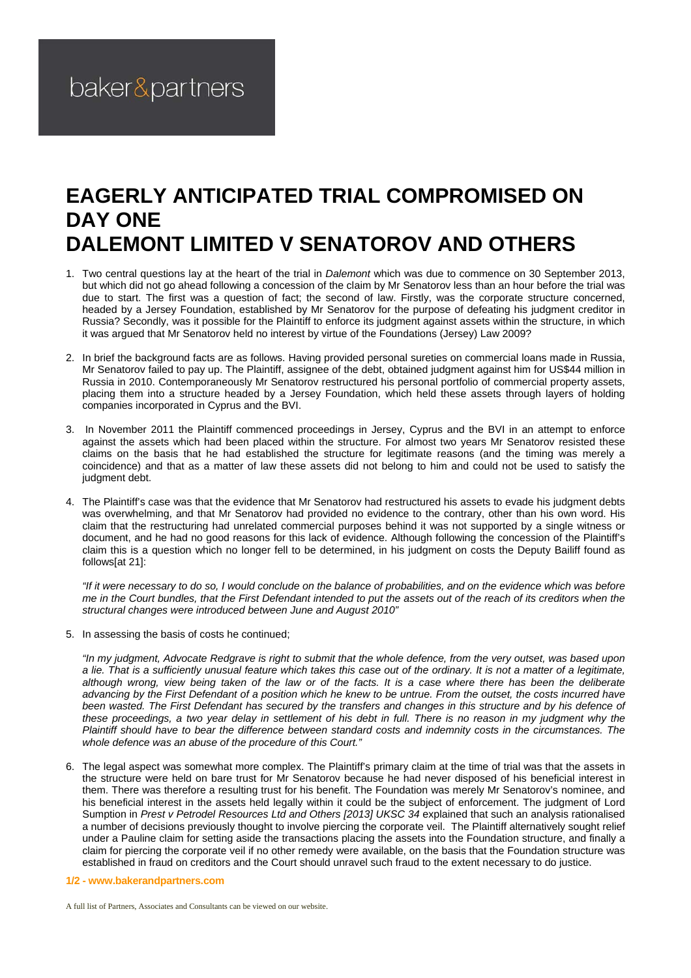## **EAGERLY ANTICIPATED TRIAL COMPROMISED ON DAY ONE DALEMONT LIMITED V SENATOROV AND OTHERS**

- 1. Two central questions lay at the heart of the trial in *Dalemont* which was due to commence on 30 September 2013, but which did not go ahead following a concession of the claim by Mr Senatorov less than an hour before the trial was due to start. The first was a question of fact; the second of law. Firstly, was the corporate structure concerned, headed by a Jersey Foundation, established by Mr Senatorov for the purpose of defeating his judgment creditor in Russia? Secondly, was it possible for the Plaintiff to enforce its judgment against assets within the structure, in which it was argued that Mr Senatorov held no interest by virtue of the Foundations (Jersey) Law 2009?
- 2. In brief the background facts are as follows. Having provided personal sureties on commercial loans made in Russia, Mr Senatorov failed to pay up. The Plaintiff, assignee of the debt, obtained judgment against him for US\$44 million in Russia in 2010. Contemporaneously Mr Senatorov restructured his personal portfolio of commercial property assets, placing them into a structure headed by a Jersey Foundation, which held these assets through layers of holding companies incorporated in Cyprus and the BVI.
- 3. In November 2011 the Plaintiff commenced proceedings in Jersey, Cyprus and the BVI in an attempt to enforce against the assets which had been placed within the structure. For almost two years Mr Senatorov resisted these claims on the basis that he had established the structure for legitimate reasons (and the timing was merely a coincidence) and that as a matter of law these assets did not belong to him and could not be used to satisfy the judgment debt.
- 4. The Plaintiff's case was that the evidence that Mr Senatorov had restructured his assets to evade his judgment debts was overwhelming, and that Mr Senatorov had provided no evidence to the contrary, other than his own word. His claim that the restructuring had unrelated commercial purposes behind it was not supported by a single witness or document, and he had no good reasons for this lack of evidence. Although following the concession of the Plaintiff's claim this is a question which no longer fell to be determined, in his judgment on costs the Deputy Bailiff found as follows[at 21]:

*"If it were necessary to do so, I would conclude on the balance of probabilities, and on the evidence which was before me in the Court bundles, that the First Defendant intended to put the assets out of the reach of its creditors when the structural changes were introduced between June and August 2010"* 

5. In assessing the basis of costs he continued;

*"In my judgment, Advocate Redgrave is right to submit that the whole defence, from the very outset, was based upon a lie. That is a sufficiently unusual feature which takes this case out of the ordinary. It is not a matter of a legitimate, although wrong, view being taken of the law or of the facts. It is a case where there has been the deliberate advancing by the First Defendant of a position which he knew to be untrue. From the outset, the costs incurred have*  been wasted. The First Defendant has secured by the transfers and changes in this structure and by his defence of these proceedings, a two year delay in settlement of his debt in full. There is no reason in my judgment why the *Plaintiff should have to bear the difference between standard costs and indemnity costs in the circumstances. The whole defence was an abuse of the procedure of this Court."* 

- 6. The legal aspect was somewhat more complex. The Plaintiff's primary claim at the time of trial was that the assets in the structure were held on bare trust for Mr Senatorov because he had never disposed of his beneficial interest in them. There was therefore a resulting trust for his benefit. The Foundation was merely Mr Senatorov's nominee, and his beneficial interest in the assets held legally within it could be the subject of enforcement. The judgment of Lord Sumption in *Prest v Petrodel Resources Ltd and Others [2013] UKSC 34* explained that such an analysis rationalised a number of decisions previously thought to involve piercing the corporate veil. The Plaintiff alternatively sought relief under a Pauline claim for setting aside the transactions placing the assets into the Foundation structure, and finally a claim for piercing the corporate veil if no other remedy were available, on the basis that the Foundation structure was established in fraud on creditors and the Court should unravel such fraud to the extent necessary to do justice.
- **1/2 www.bakerandpartners.com**

A full list of Partners, Associates and Consultants can be viewed on our website.